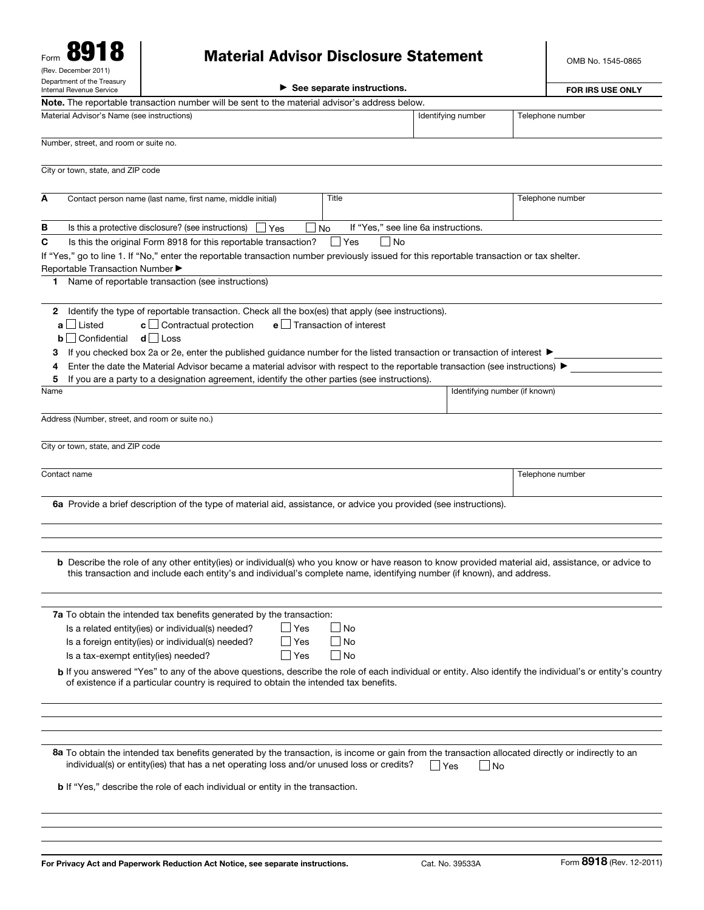| Form                                                   |  |  |  |  |  |  |  |
|--------------------------------------------------------|--|--|--|--|--|--|--|
| (Rev. December 2011)                                   |  |  |  |  |  |  |  |
| Department of the Treasury<br>Internal Revenue Service |  |  |  |  |  |  |  |

## Material Advisor Disclosure Statement

OMB No. 1545-0865

| (Rev. December 2011)                                   |                                                                                                                                                                                                                                                                                    |                         |                             |                                     |                  |  |
|--------------------------------------------------------|------------------------------------------------------------------------------------------------------------------------------------------------------------------------------------------------------------------------------------------------------------------------------------|-------------------------|-----------------------------|-------------------------------------|------------------|--|
| Department of the Treasury<br>Internal Revenue Service |                                                                                                                                                                                                                                                                                    | <b>FOR IRS USE ONLY</b> |                             |                                     |                  |  |
|                                                        | Note. The reportable transaction number will be sent to the material advisor's address below.                                                                                                                                                                                      |                         |                             |                                     |                  |  |
| Material Advisor's Name (see instructions)             |                                                                                                                                                                                                                                                                                    |                         |                             | Identifying number                  | Telephone number |  |
| Number, street, and room or suite no.                  |                                                                                                                                                                                                                                                                                    |                         |                             |                                     |                  |  |
| City or town, state, and ZIP code                      |                                                                                                                                                                                                                                                                                    |                         |                             |                                     |                  |  |
| A                                                      | Contact person name (last name, first name, middle initial)                                                                                                                                                                                                                        |                         | Title                       |                                     | Telephone number |  |
| в                                                      | Is this a protective disclosure? (see instructions)                                                                                                                                                                                                                                |                         |                             | If "Yes," see line 6a instructions. |                  |  |
|                                                        |                                                                                                                                                                                                                                                                                    | l lYes                  | No<br>∣No<br>∐ Yes          |                                     |                  |  |
| C                                                      | Is this the original Form 8918 for this reportable transaction?<br>If "Yes," go to line 1. If "No," enter the reportable transaction number previously issued for this reportable transaction or tax shelter.                                                                      |                         |                             |                                     |                  |  |
| Reportable Transaction Number ▶                        |                                                                                                                                                                                                                                                                                    |                         |                             |                                     |                  |  |
| 1.                                                     | Name of reportable transaction (see instructions)                                                                                                                                                                                                                                  |                         |                             |                                     |                  |  |
| a   Listed<br>$\mathbf{b}$   Confidential              | 2 Identify the type of reportable transaction. Check all the box(es) that apply (see instructions).<br>$c \Box$ Contractual protection<br>$d$ Loss                                                                                                                                 |                         | $e$ Transaction of interest |                                     |                  |  |
| з                                                      | If you checked box 2a or 2e, enter the published guidance number for the listed transaction or transaction of interest ▶                                                                                                                                                           |                         |                             |                                     |                  |  |
| 4                                                      | Enter the date the Material Advisor became a material advisor with respect to the reportable transaction (see instructions) ▶                                                                                                                                                      |                         |                             |                                     |                  |  |
| 5<br>Name                                              | If you are a party to a designation agreement, identify the other parties (see instructions).                                                                                                                                                                                      |                         |                             | Identifying number (if known)       |                  |  |
|                                                        |                                                                                                                                                                                                                                                                                    |                         |                             |                                     |                  |  |
| Address (Number, street, and room or suite no.)        |                                                                                                                                                                                                                                                                                    |                         |                             |                                     |                  |  |
| City or town, state, and ZIP code                      |                                                                                                                                                                                                                                                                                    |                         |                             |                                     |                  |  |
|                                                        |                                                                                                                                                                                                                                                                                    |                         |                             |                                     |                  |  |
| Contact name                                           |                                                                                                                                                                                                                                                                                    |                         |                             |                                     | Telephone number |  |
|                                                        | 6a Provide a brief description of the type of material aid, assistance, or advice you provided (see instructions).                                                                                                                                                                 |                         |                             |                                     |                  |  |
|                                                        | <b>b</b> Describe the role of any other entity(ies) or individual(s) who you know or have reason to know provided material aid, assistance, or advice to<br>this transaction and include each entity's and individual's complete name, identifying number (if known), and address. |                         |                             |                                     |                  |  |
|                                                        | 7a To obtain the intended tax benefits generated by the transaction:                                                                                                                                                                                                               |                         |                             |                                     |                  |  |
|                                                        | Is a related entity(ies) or individual(s) needed?                                                                                                                                                                                                                                  | ∣∣Yes                   | l No                        |                                     |                  |  |
|                                                        | Is a foreign entity(ies) or individual(s) needed?                                                                                                                                                                                                                                  | l lYes                  | <b>No</b>                   |                                     |                  |  |
| Is a tax-exempt entity(ies) needed?                    |                                                                                                                                                                                                                                                                                    | l lYes                  | l INo                       |                                     |                  |  |
|                                                        | <b>b</b> If you answered "Yes" to any of the above questions, describe the role of each individual or entity. Also identify the individual's or entity's country<br>of existence if a particular country is required to obtain the intended tax benefits.                          |                         |                             |                                     |                  |  |
|                                                        |                                                                                                                                                                                                                                                                                    |                         |                             |                                     |                  |  |
|                                                        | 8a To obtain the intended tax benefits generated by the transaction, is income or gain from the transaction allocated directly or indirectly to an<br>individual(s) or entity(ies) that has a net operating loss and/or unused loss or credits?                                    |                         |                             | $\Box$ No<br>l Yes                  |                  |  |
|                                                        | <b>b</b> If "Yes," describe the role of each individual or entity in the transaction.                                                                                                                                                                                              |                         |                             |                                     |                  |  |
|                                                        |                                                                                                                                                                                                                                                                                    |                         |                             |                                     |                  |  |
|                                                        |                                                                                                                                                                                                                                                                                    |                         |                             |                                     |                  |  |